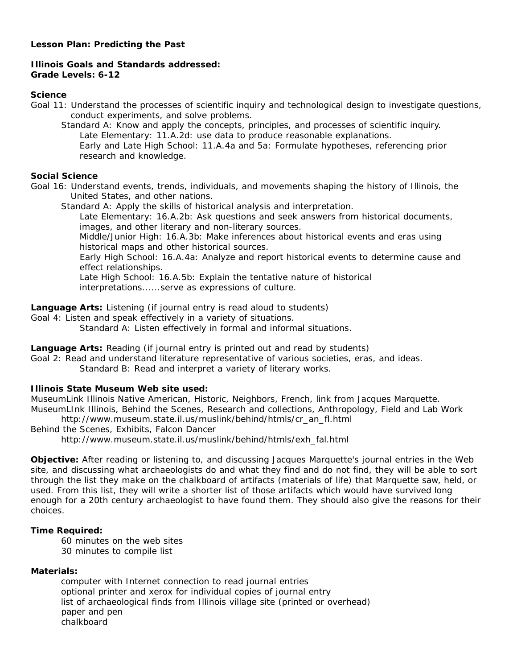# **Lesson Plan: Predicting the Past**

# **Illinois Goals and Standards addressed: Grade Levels: 6-12**

### **Science**

Goal 11: Understand the processes of scientific inquiry and technological design to investigate questions, conduct experiments, and solve problems.

Standard A: Know and apply the concepts, principles, and processes of scientific inquiry. Late Elementary: 11.A.2d: use data to produce reasonable explanations. Early and Late High School: 11.A.4a and 5a: Formulate hypotheses, referencing prior research and knowledge.

## **Social Science**

Goal 16: Understand events, trends, individuals, and movements shaping the history of Illinois, the United States, and other nations.

Standard A: Apply the skills of historical analysis and interpretation.

Late Elementary: 16.A.2b: Ask questions and seek answers from historical documents, images, and other literary and non-literary sources.

Middle/Junior High: 16.A.3b: Make inferences about historical events and eras using historical maps and other historical sources.

Early High School: 16.A.4a: Analyze and report historical events to determine cause and effect relationships.

Late High School: 16.A.5b: Explain the tentative nature of historical interpretations......serve as expressions of culture.

**Language Arts:** Listening (if journal entry is read aloud to students)

Goal 4: Listen and speak effectively in a variety of situations.

Standard A: Listen effectively in formal and informal situations.

**Language Arts:** Reading (if journal entry is printed out and read by students)

Goal 2: Read and understand literature representative of various societies, eras, and ideas.

Standard B: Read and interpret a variety of literary works.

# **Illinois State Museum Web site used:**

MuseumLink Illinois Native American, Historic, Neighbors, French, link from Jacques Marquette. MuseumLInk Illinois, Behind the Scenes, Research and collections, Anthropology, Field and Lab Work http://www.museum.state.il.us/muslink/behind/htmls/cr\_an\_fl.html

Behind the Scenes, Exhibits, Falcon Dancer

http://www.museum.state.il.us/muslink/behind/htmls/exh\_fal.html

**Objective:** After reading or listening to, and discussing Jacques Marquette's journal entries in the Web site, and discussing what archaeologists do and what they find and do not find, they will be able to sort through the list they make on the chalkboard of artifacts (materials of life) that Marquette saw, held, or used. From this list, they will write a shorter list of those artifacts which would have survived long enough for a 20th century archaeologist to have found them. They should also give the reasons for their choices.

# **Time Required:**

60 minutes on the web sites 30 minutes to compile list

# **Materials:**

computer with Internet connection to read journal entries optional printer and xerox for individual copies of journal entry list of archaeological finds from Illinois village site (printed or overhead) paper and pen chalkboard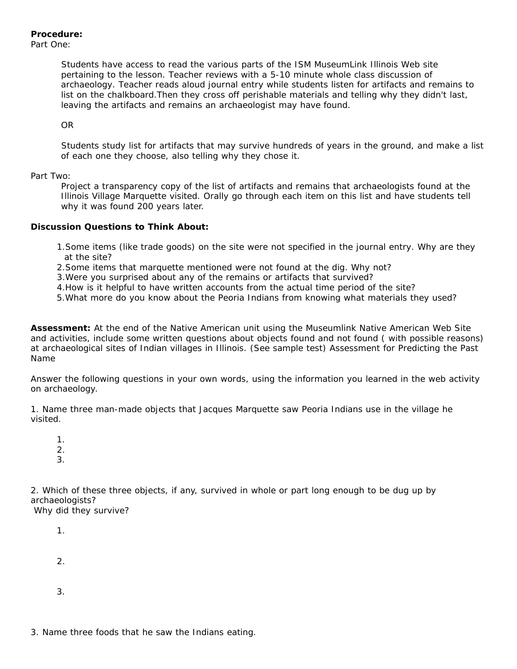Students have access to read the various parts of the ISM MuseumLink Illinois Web site pertaining to the lesson. Teacher reviews with a 5-10 minute whole class discussion of archaeology. Teacher reads aloud journal entry while students listen for artifacts and remains to list on the chalkboard.Then they cross off perishable materials and telling why they didn't last, leaving the artifacts and remains an archaeologist may have found.

OR

Students study list for artifacts that may survive hundreds of years in the ground, and make a list of each one they choose, also telling why they chose it.

## Part Two:

Project a transparency copy of the list of artifacts and remains that archaeologists found at the Illinois Village Marquette visited. Orally go through each item on this list and have students tell why it was found 200 years later.

## **Discussion Questions to Think About:**

- 1.Some items (like trade goods) on the site were not specified in the journal entry. Why are they at the site?
- 2.Some items that marquette mentioned were not found at the dig. Why not?
- 3.Were you surprised about any of the remains or artifacts that survived?
- 4.How is it helpful to have written accounts from the actual time period of the site?
- 5.What more do you know about the Peoria Indians from knowing what materials they used?

**Assessment:** At the end of the Native American unit using the Museumlink Native American Web Site and activities, include some written questions about objects found and not found ( with possible reasons) at archaeological sites of Indian villages in Illinois. (See sample test) Assessment for Predicting the Past Name

Answer the following questions in your own words, using the information you learned in the web activity on archaeology.

1. Name three man-made objects that Jacques Marquette saw Peoria Indians use in the village he visited.

1. 2.

3.

2. Which of these three objects, if any, survived in whole or part long enough to be dug up by archaeologists?

Why did they survive?

1. 2. 3.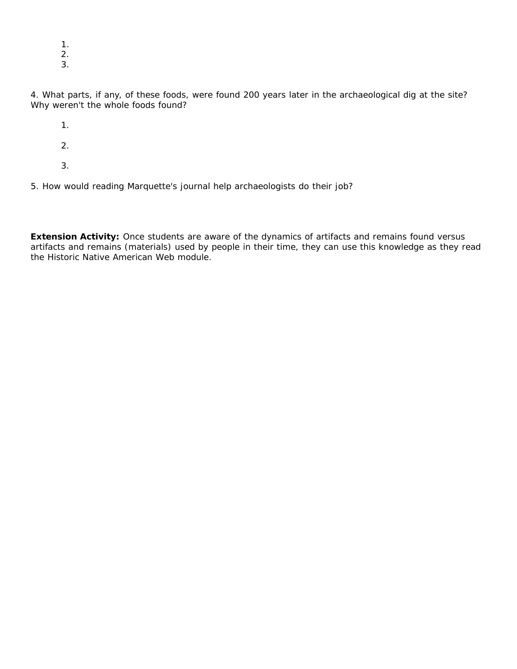- 1.
- 2.
- 3.

4. What parts, if any, of these foods, were found 200 years later in the archaeological dig at the site? Why weren't the whole foods found?

1.

- 2.
- 3.

5. How would reading Marquette's journal help archaeologists do their job?

**Extension Activity:** Once students are aware of the dynamics of artifacts and remains found versus artifacts and remains (materials) used by people in their time, they can use this knowledge as they read the Historic Native American Web module.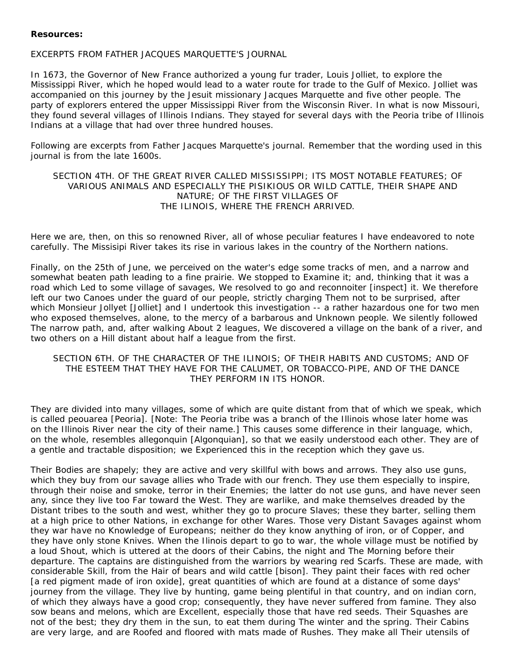#### **Resources:**

### EXCERPTS FROM FATHER JACQUES MARQUETTE'S JOURNAL

In 1673, the Governor of New France authorized a young fur trader, Louis Jolliet, to explore the Mississippi River, which he hoped would lead to a water route for trade to the Gulf of Mexico. Jolliet was accompanied on this journey by the Jesuit missionary Jacques Marquette and five other people. The party of explorers entered the upper Mississippi River from the Wisconsin River. In what is now Missouri, they found several villages of Illinois Indians. They stayed for several days with the Peoria tribe of Illinois Indians at a village that had over three hundred houses.

Following are excerpts from Father Jacques Marquette's journal. Remember that the wording used in this journal is from the late 1600s.

## SECTION 4TH. OF THE GREAT RIVER CALLED MISSISSIPPI; ITS MOST NOTABLE FEATURES; OF VARIOUS ANIMALS AND ESPECIALLY THE PISIKIOUS OR WILD CATTLE, THEIR SHAPE AND NATURE; OF THE FIRST VILLAGES OF THE ILINOIS, WHERE THE FRENCH ARRIVED.

Here we are, then, on this so renowned River, all of whose peculiar features I have endeavored to note carefully. The Missisipi River takes its rise in various lakes in the country of the Northern nations.

Finally, on the 25th of June, we perceived on the water's edge some tracks of men, and a narrow and somewhat beaten path leading to a fine prairie. We stopped to Examine it; and, thinking that it was a road which Led to some village of savages, We resolved to go and reconnoiter [inspect] it. We therefore left our two Canoes under the guard of our people, strictly charging Them not to be surprised, after which Monsieur Jollyet [Jolliet] and I undertook this investigation -- a rather hazardous one for two men who exposed themselves, alone, to the mercy of a barbarous and Unknown people. We silently followed The narrow path, and, after walking About 2 leagues, We discovered a village on the bank of a river, and two others on a Hill distant about half a league from the first.

## SECTION 6TH. OF THE CHARACTER OF THE ILINOIS; OF THEIR HABITS AND CUSTOMS; AND OF THE ESTEEM THAT THEY HAVE FOR THE CALUMET, OR TOBACCO-PIPE, AND OF THE DANCE THEY PERFORM IN ITS HONOR.

They are divided into many villages, some of which are quite distant from that of which we speak, which is called peouarea [Peoria]. [Note: The Peoria tribe was a branch of the Illinois whose later home was on the Illinois River near the city of their name.] This causes some difference in their language, which, on the whole, resembles allegonquin [Algonquian], so that we easily understood each other. They are of a gentle and tractable disposition; we Experienced this in the reception which they gave us.

Their Bodies are shapely; they are active and very skillful with bows and arrows. They also use guns, which they buy from our savage allies who Trade with our french. They use them especially to inspire, through their noise and smoke, terror in their Enemies; the latter do not use guns, and have never seen any, since they live too Far toward the West. They are warlike, and make themselves dreaded by the Distant tribes to the south and west, whither they go to procure Slaves; these they barter, selling them at a high price to other Nations, in exchange for other Wares. Those very Distant Savages against whom they war have no Knowledge of Europeans; neither do they know anything of iron, or of Copper, and they have only stone Knives. When the Ilinois depart to go to war, the whole village must be notified by a loud Shout, which is uttered at the doors of their Cabins, the night and The Morning before their departure. The captains are distinguished from the warriors by wearing red Scarfs. These are made, with considerable Skill, from the Hair of bears and wild cattle [bison]. They paint their faces with red ocher [a red pigment made of iron oxide], great quantities of which are found at a distance of some days' journey from the village. They live by hunting, game being plentiful in that country, and on indian corn, of which they always have a good crop; consequently, they have never suffered from famine. They also sow beans and melons, which are Excellent, especially those that have red seeds. Their Squashes are not of the best; they dry them in the sun, to eat them during The winter and the spring. Their Cabins are very large, and are Roofed and floored with mats made of Rushes. They make all Their utensils of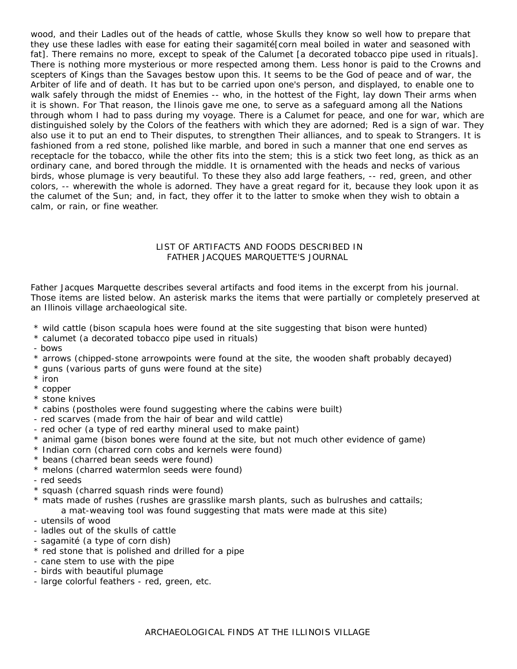wood, and their Ladles out of the heads of cattle, whose Skulls they know so well how to prepare that they use these ladles with ease for eating their sagamité[corn meal boiled in water and seasoned with fat]. There remains no more, except to speak of the Calumet [a decorated tobacco pipe used in rituals]. There is nothing more mysterious or more respected among them. Less honor is paid to the Crowns and scepters of Kings than the Savages bestow upon this. It seems to be the God of peace and of war, the Arbiter of life and of death. It has but to be carried upon one's person, and displayed, to enable one to walk safely through the midst of Enemies -- who, in the hottest of the Fight, lay down Their arms when it is shown. For That reason, the Ilinois gave me one, to serve as a safeguard among all the Nations through whom I had to pass during my voyage. There is a Calumet for peace, and one for war, which are distinguished solely by the Colors of the feathers with which they are adorned; Red is a sign of war. They also use it to put an end to Their disputes, to strengthen Their alliances, and to speak to Strangers. It is fashioned from a red stone, polished like marble, and bored in such a manner that one end serves as receptacle for the tobacco, while the other fits into the stem; this is a stick two feet long, as thick as an ordinary cane, and bored through the middle. It is ornamented with the heads and necks of various birds, whose plumage is very beautiful. To these they also add large feathers, -- red, green, and other colors, -- wherewith the whole is adorned. They have a great regard for it, because they look upon it as the calumet of the Sun; and, in fact, they offer it to the latter to smoke when they wish to obtain a calm, or rain, or fine weather.

### LIST OF ARTIFACTS AND FOODS DESCRIBED IN FATHER JACQUES MARQUETTE'S JOURNAL

Father Jacques Marquette describes several artifacts and food items in the excerpt from his journal. Those items are listed below. An asterisk marks the items that were partially or completely preserved at an Illinois village archaeological site.

- \* wild cattle (bison scapula hoes were found at the site suggesting that bison were hunted)
- \* calumet (a decorated tobacco pipe used in rituals)
- bows
- \* arrows (chipped-stone arrowpoints were found at the site, the wooden shaft probably decayed)
- \* guns (various parts of guns were found at the site)
- \* iron
- \* copper
- \* stone knives
- \* cabins (postholes were found suggesting where the cabins were built)
- red scarves (made from the hair of bear and wild cattle)
- red ocher (a type of red earthy mineral used to make paint)
- \* animal game (bison bones were found at the site, but not much other evidence of game)
- \* Indian corn (charred corn cobs and kernels were found)
- \* beans (charred bean seeds were found)
- \* melons (charred watermlon seeds were found)
- red seeds
- \* squash (charred squash rinds were found)
- \* mats made of rushes (rushes are grasslike marsh plants, such as bulrushes and cattails; a mat-weaving tool was found suggesting that mats were made at this site)
- utensils of wood
- ladles out of the skulls of cattle
- sagamité (a type of corn dish)
- \* red stone that is polished and drilled for a pipe
- cane stem to use with the pipe
- birds with beautiful plumage
- large colorful feathers red, green, etc.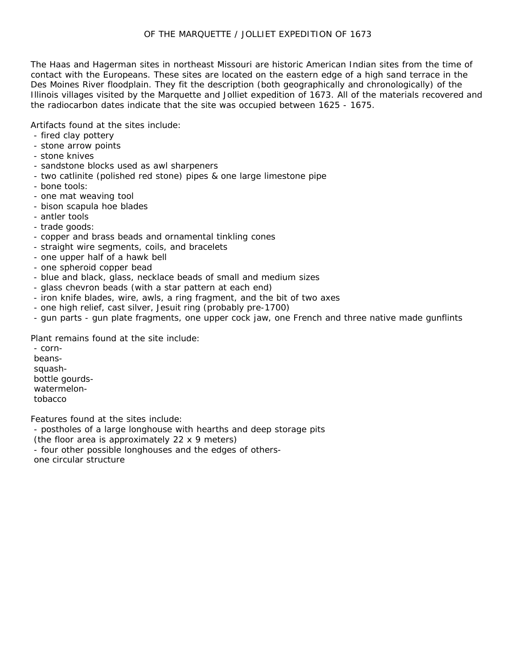## OF THE MARQUETTE / JOLLIET EXPEDITION OF 1673

The Haas and Hagerman sites in northeast Missouri are historic American Indian sites from the time of contact with the Europeans. These sites are located on the eastern edge of a high sand terrace in the Des Moines River floodplain. They fit the description (both geographically and chronologically) of the Illinois villages visited by the Marquette and Jolliet expedition of 1673. All of the materials recovered and the radiocarbon dates indicate that the site was occupied between 1625 - 1675.

Artifacts found at the sites include:

- fired clay pottery
- stone arrow points
- stone knives
- sandstone blocks used as awl sharpeners
- two catlinite (polished red stone) pipes & one large limestone pipe
- bone tools:
- one mat weaving tool
- bison scapula hoe blades
- antler tools
- trade goods:
- copper and brass beads and ornamental tinkling cones
- straight wire segments, coils, and bracelets
- one upper half of a hawk bell
- one spheroid copper bead
- blue and black, glass, necklace beads of small and medium sizes
- glass chevron beads (with a star pattern at each end)
- iron knife blades, wire, awls, a ring fragment, and the bit of two axes
- one high relief, cast silver, Jesuit ring (probably pre-1700)
- gun parts gun plate fragments, one upper cock jaw, one French and three native made gunflints

Plant remains found at the site include:

- cornbeanssquashbottle gourdswatermelontobacco

Features found at the sites include:

- postholes of a large longhouse with hearths and deep storage pits

(the floor area is approximately 22 x 9 meters)

- four other possible longhouses and the edges of others-

one circular structure